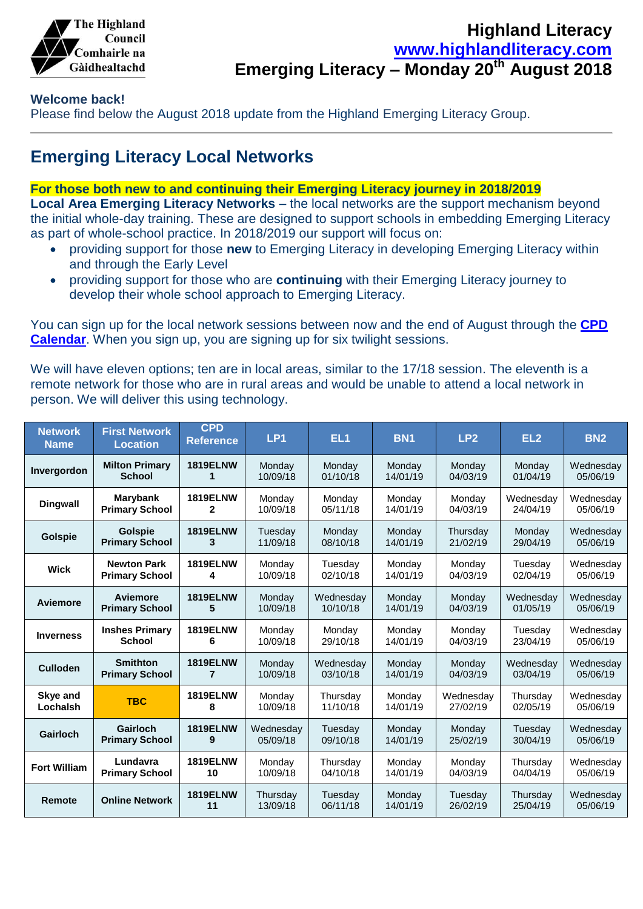

### **Highland Literacy [www.highlandliteracy.com](http://www.highlandliteracy.com/) Emerging Literacy – Monday 20th August 2018**

#### **Welcome back!**

Please find below the August 2018 update from the Highland Emerging Literacy Group.

## **Emerging Literacy Local Networks**

#### **For those both new to and continuing their Emerging Literacy journey in 2018/2019**

**Local Area Emerging Literacy Networks** – the local networks are the support mechanism beyond the initial whole-day training. These are designed to support schools in embedding Emerging Literacy as part of whole-school practice. In 2018/2019 our support will focus on:

- providing support for those **new** to Emerging Literacy in developing Emerging Literacy within and through the Early Level
- providing support for those who are **continuing** with their Emerging Literacy journey to develop their whole school approach to Emerging Literacy.

You can sign up for the local network sessions between now and the end of August through the **[CPD](http://highland.cpdservice.net/)  [Calendar](http://highland.cpdservice.net/)**. When you sign up, you are signing up for six twilight sessions.

We will have eleven options; ten are in local areas, similar to the 17/18 session. The eleventh is a remote network for those who are in rural areas and would be unable to attend a local network in person. We will deliver this using technology.

| <b>Network</b><br><b>Name</b> | <b>First Network</b><br><b>Location</b> | <b>CPD</b><br><b>Reference</b> | LP <sub>1</sub>      | EL <sub>1</sub>     | <b>BN1</b>         | LP <sub>2</sub>     | EL <sub>2</sub>      | <b>BN2</b>            |
|-------------------------------|-----------------------------------------|--------------------------------|----------------------|---------------------|--------------------|---------------------|----------------------|-----------------------|
| Invergordon                   | <b>Milton Primary</b>                   | <b>1819ELNW</b>                | Monday               | Monday              | Mondav             | Mondav              | Mondav               | Wednesdav             |
|                               | <b>School</b>                           | 1                              | 10/09/18             | 01/10/18            | 14/01/19           | 04/03/19            | 01/04/19             | 05/06/19              |
| <b>Dingwall</b>               | Marybank                                | <b>1819ELNW</b>                | Monday               | Monday              | Monday             | Monday              | Wednesday            | Wednesday             |
|                               | <b>Primary School</b>                   | 2                              | 10/09/18             | 05/11/18            | 14/01/19           | 04/03/19            | 24/04/19             | 05/06/19              |
| Golspie                       | <b>Golspie</b>                          | <b>1819ELNW</b>                | Tuesday              | Monday              | Monday             | Thursday            | Monday               | Wednesday             |
|                               | <b>Primary School</b>                   | 3                              | 11/09/18             | 08/10/18            | 14/01/19           | 21/02/19            | 29/04/19             | 05/06/19              |
| <b>Wick</b>                   | <b>Newton Park</b>                      | <b>1819ELNW</b>                | Mondav               | Tuesdav             | Mondav             | Mondav              | Tuesdav              | Wednesdav             |
|                               | <b>Primary School</b>                   | 4                              | 10/09/18             | 02/10/18            | 14/01/19           | 04/03/19            | 02/04/19             | 05/06/19              |
| Aviemore                      | Aviemore                                | <b>1819ELNW</b>                | Monday               | Wednesday           | Monday             | Monday              | Wednesday            | Wednesday             |
|                               | <b>Primary School</b>                   | 5                              | 10/09/18             | 10/10/18            | 14/01/19           | 04/03/19            | 01/05/19             | 05/06/19              |
| <b>Inverness</b>              | <b>Inshes Primary</b>                   | <b>1819ELNW</b>                | Monday               | Monday              | Monday             | Monday              | Tuesday              | Wednesday             |
|                               | <b>School</b>                           | 6                              | 10/09/18             | 29/10/18            | 14/01/19           | 04/03/19            | 23/04/19             | 05/06/19              |
| <b>Culloden</b>               | <b>Smithton</b>                         | <b>1819ELNW</b>                | Mondav               | Wednesday           | Mondav             | Mondav              | Wednesdav            | Wednesday             |
|                               | <b>Primary School</b>                   | 7                              | 10/09/18             | 03/10/18            | 14/01/19           | 04/03/19            | 03/04/19             | 05/06/19              |
| Skye and                      | <b>TBC</b>                              | <b>1819ELNW</b>                | Monday               | Thursday            | Monday             | Wednesday           | Thursday             | Wednesday             |
| Lochalsh                      |                                         | 8                              | 10/09/18             | 11/10/18            | 14/01/19           | 27/02/19            | 02/05/19             | 05/06/19              |
| Gairloch                      | Gairloch                                | <b>1819ELNW</b>                | Wednesday            | Tuesday             | Monday             | Monday              | Tuesday              | Wednesday             |
|                               | <b>Primary School</b>                   | 9                              | 05/09/18             | 09/10/18            | 14/01/19           | 25/02/19            | 30/04/19             | 05/06/19              |
| <b>Fort William</b>           | Lundavra                                | <b>1819ELNW</b>                | Mondav               | Thursdav            | Mondav             | Mondav              | Thursdav             | Wednesdav             |
|                               | <b>Primary School</b>                   | 10                             | 10/09/18             | 04/10/18            | 14/01/19           | 04/03/19            | 04/04/19             | 05/06/19              |
| Remote                        | <b>Online Network</b>                   | <b>1819ELNW</b><br>11          | Thursday<br>13/09/18 | Tuesday<br>06/11/18 | Monday<br>14/01/19 | Tuesday<br>26/02/19 | Thursday<br>25/04/19 | Wednesday<br>05/06/19 |